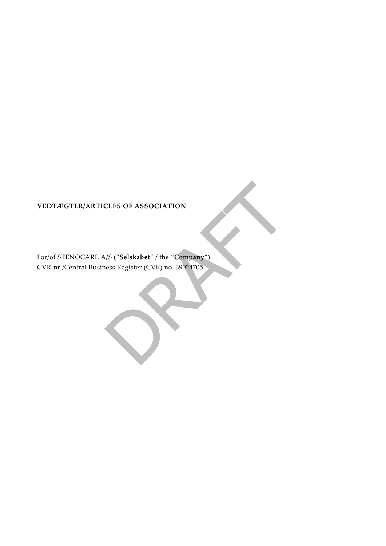# **VEDTÆGTER/ARTICLES OF ASSOCIATION**

For/of STENOCARE A/S ("**Selskabet**" / the "**Company**") CVR-nr./Central Business Register (CVR) no. 39024705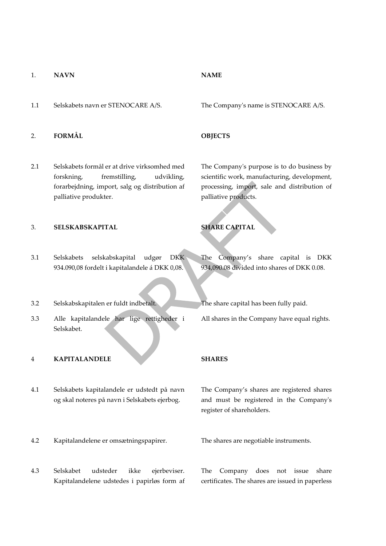### 1. **NAVN NAME**

1.1 Selskabets navn er STENOCARE A/S. The Company's name is STENOCARE A/S.

## 2. **FORMÅL OBJECTS**

2.1 Selskabets formål er at drive virksomhed med forskning, fremstilling, udvikling, forarbejdning, import, salg og distribution af palliative produkter.

## 3. **SELSKABSKAPITAL SHARE CAPITAL**

- 3.1 Selskabets selskabskapital udgør DKK 934.090,08 fordelt i kapitalandele á DKK 0,08.
- 3.2 Selskabskapitalen er fuldt indbetalt. The share capital has been fully paid.
- 3.3 Alle kapitalandele har lige rettigheder i Selskabet.

## 4 **KAPITALANDELE SHARES**

- 4.1 Selskabets kapitalandele er udstedt på navn og skal noteres på navn i Selskabets ejerbog.
- 4.2 Kapitalandelene er omsætningspapirer. The shares are negotiable instruments.
- 4.3 Selskabet udsteder ikke ejerbeviser. Kapitalandelene udstedes i papirløs form af

The Company's purpose is to do business by scientific work, manufacturing, development, processing, import, sale and distribution of palliative products.

The Company's share capital is DKK 934,090.08 divided into shares of DKK 0.08.

All shares in the Company have equal rights.

The Company's shares are registered shares and must be registered in the Company's register of shareholders.

The Company does not issue share certificates. The shares are issued in paperless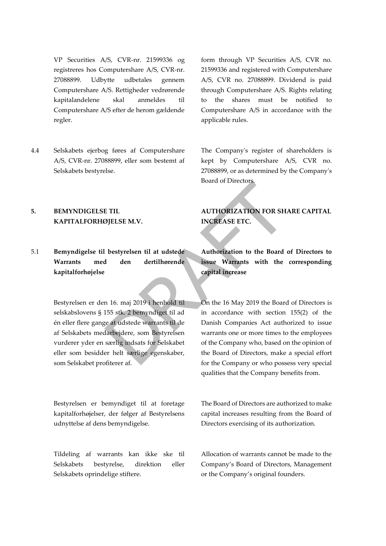VP Securities A/S, CVR-nr. 21599336 og registreres hos Computershare A/S, CVR-nr. 27088899. Udbytte udbetales gennem Computershare A/S. Rettigheder vedrørende kapitalandelene skal anmeldes til Computershare A/S efter de herom gældende regler.

4.4 Selskabets ejerbog føres af Computershare A/S, CVR-nr. 27088899, eller som bestemt af Selskabets bestyrelse.

## **5. BEMYNDIGELSE TIL KAPITALFORHØJELSE M.V.**

# 5.1 **Bemyndigelse til bestyrelsen til at udstede Warrants med den dertilhørende kapitalforhøjelse**

Bestyrelsen er den 16. maj 2019 i henhold til selskabslovens § 155 stk. 2 bemyndiget til ad én eller flere gange at udstede warrants til de af Selskabets medarbejdere, som Bestyrelsen vurderer yder en særlig indsats for Selskabet eller som besidder helt særlige egenskaber, som Selskabet profiterer af.

Bestyrelsen er bemyndiget til at foretage kapitalforhøjelser, der følger af Bestyrelsens udnyttelse af dens bemyndigelse.

Tildeling af warrants kan ikke ske til Selskabets bestyrelse, direktion eller Selskabets oprindelige stiftere.

form through VP Securities A/S, CVR no. 21599336 and registered with Computershare A/S, CVR no. 27088899. Dividend is paid through Computershare A/S. Rights relating to the shares must be notified to Computershare A/S in accordance with the applicable rules.

The Company's register of shareholders is kept by Computershare A/S, CVR no. 27088899, or as determined by the Company's Board of Directors.

# **AUTHORIZATION FOR SHARE CAPITAL INCREASE ETC.**

**Authorization to the Board of Directors to issue Warrants with the corresponding capital increase**

On the 16 May 2019 the Board of Directors is in accordance with section 155(2) of the Danish Companies Act authorized to issue warrants one or more times to the employees of the Company who, based on the opinion of the Board of Directors, make a special effort for the Company or who possess very special qualities that the Company benefits from.

The Board of Directors are authorized to make capital increases resulting from the Board of Directors exercising of its authorization.

Allocation of warrants cannot be made to the Company's Board of Directors, Management or the Company's original founders.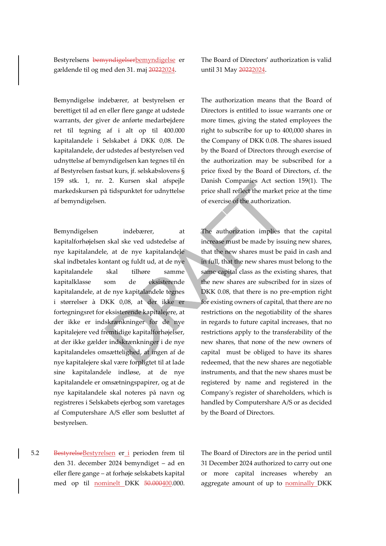Bestyrelsens bemyndigelserbemyndigelse er gældende til og med den 31. maj 20222024.

Bemyndigelse indebærer, at bestyrelsen er berettiget til ad en eller flere gange at udstede warrants, der giver de anførte medarbejdere ret til tegning af i alt op til 400.000 kapitalandele i Selskabet á DKK 0,08. De kapitalandele, der udstedes af bestyrelsen ved udnyttelse af bemyndigelsen kan tegnes til én af Bestyrelsen fastsat kurs, jf. selskabslovens § 159 stk. 1, nr. 2. Kursen skal afspejle markedskursen på tidspunktet for udnyttelse af bemyndigelsen.

Bemyndigelsen indebærer, at kapitalforhøjelsen skal ske ved udstedelse af nye kapitalandele, at de nye kapitalandele skal indbetales kontant og fuldt ud, at de nye kapitalandele skal tilhøre samme kapitalklasse som de eksisterende kapitalandele, at de nye kapitalandele tegnes i størrelser à DKK 0,08, at der ikke er fortegningsret for eksisterende kapitalejere, at der ikke er indskrænkninger for de nye kapitalejere ved fremtidige kapitalforhøjelser, at der ikke gælder indskrænkninger i de nye kapitalandeles omsættelighed, at ingen af de nye kapitalejere skal være forpligtet til at lade sine kapitalandele indløse, at de nye kapitalandele er omsætningspapirer, og at de nye kapitalandele skal noteres på navn og registreres i Selskabets ejerbog som varetages af Computershare A/S eller som besluttet af bestyrelsen.

The Board of Directors' authorization is valid until 31 May 20222024.

The authorization means that the Board of Directors is entitled to issue warrants one or more times, giving the stated employees the right to subscribe for up to 400,000 shares in the Company of DKK 0.08. The shares issued by the Board of Directors through exercise of the authorization may be subscribed for a price fixed by the Board of Directors, cf. the Danish Companies Act section 159(1). The price shall reflect the market price at the time of exercise of the authorization.

The authorization implies that the capital increase must be made by issuing new shares, that the new shares must be paid in cash and in full, that the new shares must belong to the same capital class as the existing shares, that the new shares are subscribed for in sizes of DKK 0.08, that there is no pre-emption right for existing owners of capital, that there are no restrictions on the negotiability of the shares in regards to future capital increases, that no restrictions apply to the transferability of the new shares, that none of the new owners of capital must be obliged to have its shares redeemed, that the new shares are negotiable instruments, and that the new shares must be registered by name and registered in the Company's register of shareholders, which is handled by Computershare A/S or as decided by the Board of Directors.

5.2 BestyrelseBestyrelsen er i perioden frem til den 31. december 2024 bemyndiget – ad en eller flere gange – at forhøje selskabets kapital med op til nominelt DKK 50.000400.000.

The Board of Directors are in the period until 31 December 2024 authorized to carry out one or more capital increases whereby an aggregate amount of up to nominally DKK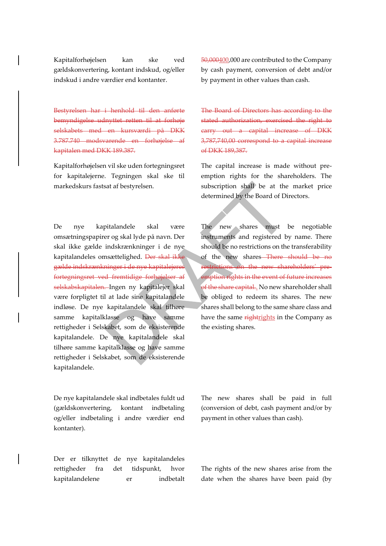Kapitalforhøjelsen kan ske ved gældskonvertering, kontant indskud, og/eller indskud i andre værdier end kontanter.

Bestyrelsen har i henhold til den anførte bemyndigelse udnyttet retten til at forhøje selskabets med en kursværdi på DKK 3.787.740 modsvarende en forhøjelse af kapitalen med DKK 189.387.

Kapitalforhøjelsen vil ske uden fortegningsret for kapitalejerne. Tegningen skal ske til markedskurs fastsat af bestyrelsen.

De nye kapitalandele skal være omsætningspapirer og skal lyde på navn. Der skal ikke gælde indskrænkninger i de nye kapitalandeles omsættelighed. Der skal ikke gælde indskrænkninger i de nye kapitalejeres fortegningsret ved fremtidige forhøjelser af selskabskapitalen. Ingen ny kapitalejer skal være forpligtet til at lade sine kapitalandele indløse. De nye kapitalandele skal tilhøre samme kapitalklasse og have samme rettigheder i Selskabet, som de eksisterende kapitalandele. De nye kapitalandele skal tilhøre samme kapitalklasse og have samme rettigheder i Selskabet, som de eksisterende kapitalandele.

De nye kapitalandele skal indbetales fuldt ud (gældskonvertering, kontant indbetaling og/eller indbetaling i andre værdier end kontanter).

Der er tilknyttet de nye kapitalandeles rettigheder fra det tidspunkt, hvor kapitalandelene er indbetalt 50,000400,000 are contributed to the Company by cash payment, conversion of debt and/or by payment in other values than cash.

The Board of Directors has according to the stated authorization, exercised the right to carry out a capital increase of DKK 3,787,740,00 correspond to a capital increase of DKK 189,387.

The capital increase is made without preemption rights for the shareholders. The subscription shall be at the market price determined by the Board of Directors.

The new shares must be negotiable instruments and registered by name. There should be no restrictions on the transferability of the new shares There should be no restrictions on the new shareholders' preemption rights in the event of future increases of the share capital.. No new shareholder shall be obliged to redeem its shares. The new shares shall belong to the same share class and have the same rightrights in the Company as the existing shares.

The new shares shall be paid in full (conversion of debt, cash payment and/or by payment in other values than cash).

The rights of the new shares arise from the date when the shares have been paid (by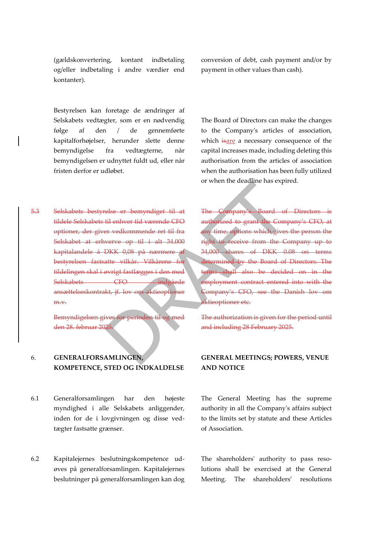(gældskonvertering, kontant indbetaling og/eller indbetaling i andre værdier end kontanter).

Bestyrelsen kan foretage de ændringer af Selskabets vedtægter, som er en nødvendig følge af den / de gennemførte kapitalforhøjelser, herunder slette denne bemyndigelse fra vedtægterne, når bemyndigelsen er udnyttet fuldt ud, eller når fristen derfor er udløbet.

5.3 Selskabets bestyrelse er bemyndiget til at tildele Selskabets til enhver tid værende CFO optioner, der giver vedkommende ret til fra Selskabet at erhverve op til i alt 34.000 kapitalandele á DKK 0,08 på nærmere af bestyrelsen fastsatte vilkår. Vilkårene for tildelingen skal i øvrigt fastlægges i den med Selskabets CFO indgåede ansættelseskontrakt, jf. lov om aktieoptioner m.v.

> Bemyndigelsen gives for perioden den 28. februar 2025.

## 6. **GENERALFORSAMLINGEN, KOMPETENCE, STED OG INDKALDELSE**

- 6.1 Generalforsamlingen har den højeste myndighed i alle Selskabets anliggender, inden for de i lovgivningen og disse vedtægter fastsatte grænser.
- 6.2 Kapitalejernes beslutningskompetence udøves på generalforsamlingen. Kapitalejernes beslutninger på generalforsamlingen kan dog

conversion of debt, cash payment and/or by payment in other values than cash).

The Board of Directors can make the changes to the Company's articles of association, which isare a necessary consequence of the capital increases made, including deleting this authorisation from the articles of association when the authorisation has been fully utilized or when the deadline has expired.

The Company's Board of Directors is authorized to grant the Company's CFO, at any time, options which gives the person the right to receive from the Company up to 34,000 shares of DKK 0.08 on terms determined by the Board of Directors. The terms shall also be decided on in the employment contract entered into with the Company's CFO, see the Danish lov om aktieoptioner etc.

The authorization is given for the period until and including 28 February 2025.

## **GENERAL MEETINGS; POWERS, VENUE AND NOTICE**

The General Meeting has the supreme authority in all the Company's affairs subject to the limits set by statute and these Articles of Association.

The shareholders' authority to pass resolutions shall be exercised at the General Meeting. The shareholders' resolutions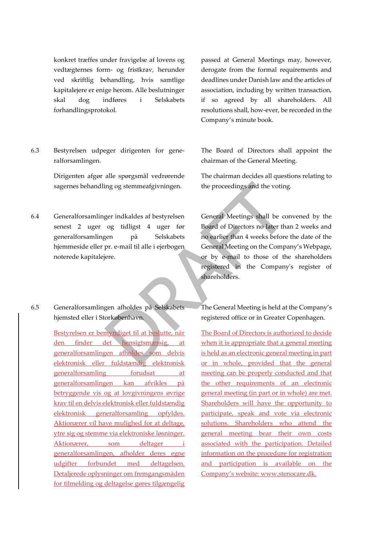konkret træffes under fravigelse af lovens og vedtægternes form- og fristkrav, herunder ved skriftlig behandling, hvis samtlige kapitalejere er enige herom. Alle beslutninger skal dog indføres i Selskabets forhandlingsprotokol.

6.3 Bestyrelsen udpeger dirigenten for generalforsamlingen.

> Dirigenten afgør alle spørgsmål vedrørende sagernes behandling og stemmeafgivningen.

- 6.4 Generalforsamlinger indkaldes af bestyrelsen senest 2 uger og tidligst 4 uger før generalforsamlingen på Selskabets hjemmeside eller pr. e-mail til alle i ejerbogen noterede kapitalejere.
- 6.5 Generalforsamlingen afholdes på Selskabets hjemsted eller i Storkøbenhavn.

Bestyrelsen er bemyndiget til at beslutte, når den finder det hensigtsmæssig, at generalforsamlingen afholdes som delvis elektronisk eller fuldstændig elektronisk generalforsamling forudsat at generalforsamlingen kan afvikles på betryggende vis og at lovgivningens øvrige krav til en delvis elektronisk eller fuldstændig elektronisk generalforsamling opfyldes. Aktionærer vil have mulighed for at deltage, ytre sig og stemme via elektroniske løsninger. Aktionærer, som deltager i generalforsamlingen, afholder deres egne udgifter forbundet med deltagelsen. Detaljerede oplysninger om fremgangsmåden for tilmelding og deltagelse gøres tilgængelig

passed at General Meetings may, however, derogate from the formal requirements and deadlines under Danish law and the articles of association, including by written transaction, if so agreed by all shareholders. All resolutions shall, how-ever, be recorded in the Company's minute book.

The Board of Directors shall appoint the chairman of the General Meeting.

The chairman decides all questions relating to the proceedings and the voting.

General Meetings shall be convened by the Board of Directors no later than 2 weeks and no earlier than 4 weeks before the date of the General Meeting on the Company's Webpage, or by e-mail to those of the shareholders registered in the Company's register of shareholders.

The General Meeting is held at the Company's registered office or in Greater Copenhagen.

The Board of Directors is authorized to decide when it is appropriate that a general meeting is held as an electronic general meeting in part or in whole, provided that the general meeting can be properly conducted and that the other requirements of an electronic general meeting (in part or in whole) are met. Shareholders will have the opportunity to participate, speak and vote via electronic solutions. Shareholders who attend the general meeting bear their own costs associated with the participation. Detailed information on the procedure for registration and participation is available on the Company's website: www.stenocare.dk.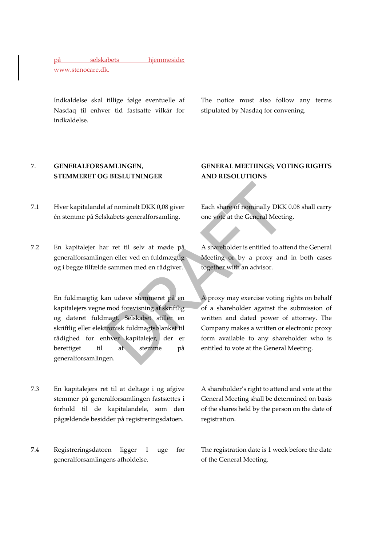på selskabets hjemmeside:

www.stenocare.dk.

Indkaldelse skal tillige følge eventuelle af Nasdaq til enhver tid fastsatte vilkår for indkaldelse.

The notice must also follow any terms stipulated by Nasdaq for convening.

## 7. **GENERALFORSAMLINGEN, STEMMERET OG BESLUTNINGER**

- 7.1 Hver kapitalandel af nominelt DKK 0,08 giver én stemme på Selskabets generalforsamling.
- 7.2 En kapitalejer har ret til selv at møde på generalforsamlingen eller ved en fuldmægtig og i begge tilfælde sammen med en rådgiver.

En fuldmægtig kan udøve stemmeret på en kapitalejers vegne mod forevisning af skriftlig og dateret fuldmagt. Selskabet stiller en skriftlig eller elektronisk fuldmagtsblanket til rådighed for enhver kapitalejer, der er berettiget til at stemme på generalforsamlingen.

- 7.3 En kapitalejers ret til at deltage i og afgive stemmer på generalforsamlingen fastsættes i forhold til de kapitalandele, som den pågældende besidder på registreringsdatoen.
- 7.4 Registreringsdatoen ligger 1 uge før generalforsamlingens afholdelse.

# **GENERAL MEETIINGS; VOTING RIGHTS AND RESOLUTIONS**

Each share of nominally DKK 0.08 shall carry one vote at the General Meeting.

A shareholder is entitled to attend the General Meeting or by a proxy and in both cases together with an advisor.

A proxy may exercise voting rights on behalf of a shareholder against the submission of written and dated power of attorney. The Company makes a written or electronic proxy form available to any shareholder who is entitled to vote at the General Meeting.

A shareholder's right to attend and vote at the General Meeting shall be determined on basis of the shares held by the person on the date of registration.

The registration date is 1 week before the date of the General Meeting.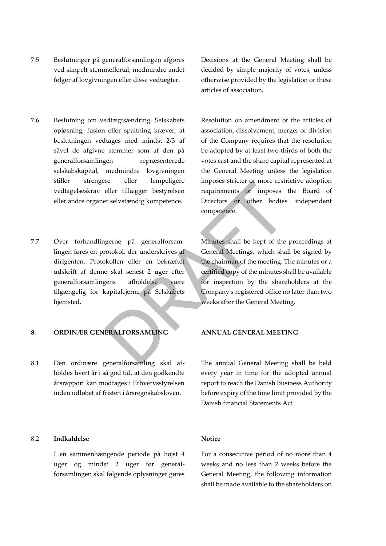- 7.5 Beslutninger på generalforsamlingen afgøres ved simpelt stemmeflertal, medmindre andet følger af lovgivningen eller disse vedtægter.
- 7.6 Beslutning om vedtægtsændring, Selskabets opløsning, fusion eller spaltning kræver, at beslutningen vedtages med mindst 2/3 af såvel de afgivne stemmer som af den på generalforsamlingen repræsenterede selskabskapital, medmindre lovgivningen stiller strengere eller lempeligere vedtagelseskrav eller tillægger bestyrelsen eller andre organer selvstændig kompetence.
- 7.7 Over forhandlingerne på generalforsamlingen føres en protokol, der underskrives af dirigenten. Protokollen eller en bekræftet udskrift af denne skal senest 2 uger efter generalforsamlingens afholdelse være tilgængelig for kapitalejerne på Selskabets hjemsted.

## **8. ORDINÆR GENERALFORSAMLING ANNUAL GENERAL MEETING**

8.1 Den ordinære generalforsamling skal afholdes hvert år i så god tid, at den godkendte årsrapport kan modtages i Erhvervsstyrelsen inden udløbet af fristen i årsregnskabsloven.

## 8.2 **Indkaldelse**

I en sammenhængende periode på højst 4 uger og mindst 2 uger før generalforsamlingen skal følgende oplysninger gøres Decisions at the General Meeting shall be decided by simple majority of votes, unless otherwise provided by the legislation or these articles of association.

Resolution on amendment of the articles of association, dissolvement, merger or division of the Company requires that the resolution be adopted by at least two thirds of both the votes cast and the share capital represented at the General Meeting unless the legislation imposes stricter or more restrictive adoption requirements or imposes the Board of Directors or other bodies' independent competence.

Minutes shall be kept of the proceedings at General Meetings, which shall be signed by the chairman of the meeting. The minutes or a certified copy of the minutes shall be available for inspection by the shareholders at the Company's registered office no later than two weeks after the General Meeting.

The annual General Meeting shall be held every year in time for the adopted annual report to reach the Danish Business Authority before expiry of the time limit provided by the Danish financial Statements Act

## **Notice**

For a consecutive period of no more than 4 weeks and no less than 2 weeks before the General Meeting, the following information shall be made available to the shareholders on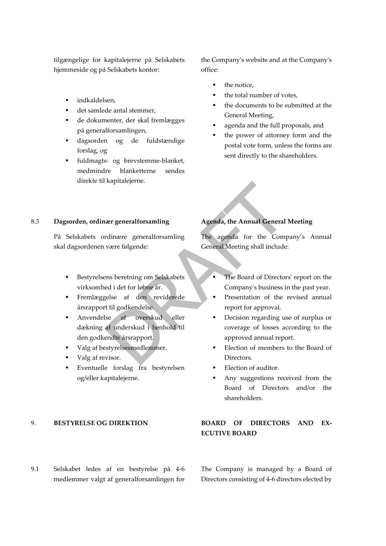tilgængelige for kapitalejerne på Selskabets hjemmeside og på Selskabets kontor:

- indkaldelsen.
- det samlede antal stemmer,
- de dokumenter, der skal fremlægges på generalforsamlingen,
- dagsorden og de fuldstændige forslag, og
- fuldmagts- og brevstemme-blanket, medmindre blanketterne sendes direkte til kapitalejerne.

the Company's website and at the Company's office:

- the notice.
- the total number of votes,
- the documents to be submitted at the General Meeting,
- agenda and the full proposals, and
- the power of attorney form and the postal vote form, unless the forms are sent directly to the shareholders.

### 8.3 **Dagsorden, ordinær generalforsamling**

På Selskabets ordinære generalforsamling skal dagsordenen være følgende:

- Bestyrelsens beretning om Selskabets virksomhed i det for løbne år.
- Fremlæggelse af den reviderede årsrapport til godkendelse.
- Anvendelse af overskud eller dækning af underskud i henhold til den godkendte årsrapport.
- Valg af bestyrelsesmedlemmer.
- Valg af revisor.
- Eventuelle forslag fra bestyrelsen og/eller kapitalejerne.

## **Agenda, the Annual General Meeting**

The agenda for the Company's Annual General Meeting shall include:

- The Board of Directors' report on the Company's business in the past year.
- **•** Presentation of the revised annual report for approval.
- Decision regarding use of surplus or coverage of losses according to the approved annual report.
- Election of members to the Board of Directors.
- Election of auditor.
- Any suggestions received from the Board of Directors and/or the shareholders.

# 9. **BESTYRELSE OG DIREKTION BOARD OF DIRECTORS AND EX-ECUTIVE BOARD**

9.1 Selskabet ledes af en bestyrelse på 4-6 medlemmer valgt af generalforsamlingen for The Company is managed by a Board of Directors consisting of 4-6 directors elected by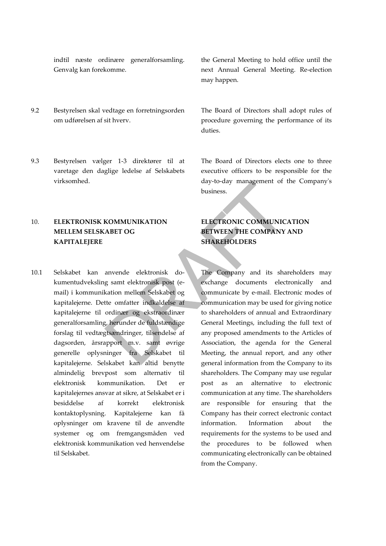indtil næste ordinære generalforsamling. Genvalg kan forekomme.

- 9.2 Bestyrelsen skal vedtage en forretningsorden om udførelsen af sit hverv.
- 9.3 Bestyrelsen vælger 1-3 direktører til at varetage den daglige ledelse af Selskabets virksomhed.

# 10. **ELEKTRONISK KOMMUNIKATION MELLEM SELSKABET OG KAPITALEJERE**

10.1 Selskabet kan anvende elektronisk dokumentudveksling samt elektronisk post (email) i kommunikation mellem Selskabet og kapitalejerne. Dette omfatter indkaldelse af kapitalejerne til ordinær og ekstraordinær generalforsamling, herunder de fuldstændige forslag til vedtægtsændringer, tilsendelse af dagsorden, årsrapport m.v. samt øvrige generelle oplysninger fra Selskabet til kapitalejerne. Selskabet kan altid benytte almindelig brevpost som alternativ til elektronisk kommunikation. Det er kapitalejernes ansvar at sikre, at Selskabet er i besiddelse af korrekt elektronisk kontaktoplysning. Kapitalejerne kan få oplysninger om kravene til de anvendte systemer og om fremgangsmåden ved elektronisk kommunikation ved henvendelse til Selskabet.

the General Meeting to hold office until the next Annual General Meeting. Re-election may happen.

The Board of Directors shall adopt rules of procedure governing the performance of its duties.

The Board of Directors elects one to three executive officers to be responsible for the day-to-day management of the Company's business.

# **ELECTRONIC COMMUNICATION BETWEEN THE COMPANY AND SHAREHOLDERS**

The Company and its shareholders may exchange documents electronically and communicate by e-mail. Electronic modes of communication may be used for giving notice to shareholders of annual and Extraordinary General Meetings, including the full text of any proposed amendments to the Articles of Association, the agenda for the General Meeting, the annual report, and any other general information from the Company to its shareholders. The Company may use regular post as an alternative to electronic communication at any time. The shareholders are responsible for ensuring that the Company has their correct electronic contact information. Information about the requirements for the systems to be used and the procedures to be followed when communicating electronically can be obtained from the Company.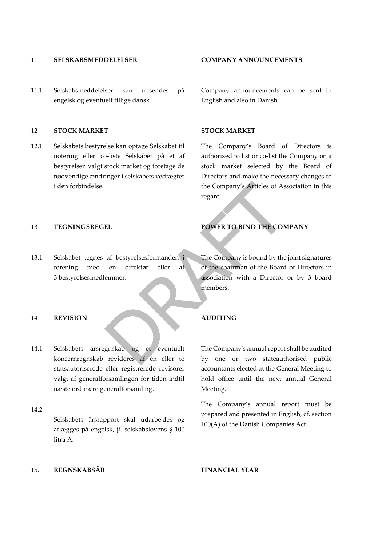### 11 **SELSKABSMEDDELELSER COMPANY ANNOUNCEMENTS**

11.1 Selskabsmeddelelser kan udsendes på engelsk og eventuelt tillige dansk.

### 12 **STOCK MARKET STOCK MARKET**

12.1 Selskabets bestyrelse kan optage Selskabet til notering eller co-liste Selskabet på et af bestyrelsen valgt stock market og foretage de nødvendige ændringer i selskabets vedtægter i den forbindelse.

13.1 Selskabet tegnes af bestyrelsesformanden i forening med en direktør eller af 3 bestyrelsesmedlemmer.

### 14 **REVISION AUDITING**

- 14.1 Selskabets årsregnskab og et eventuelt koncernregnskab revideres af én eller to statsautoriserede eller registrerede revisorer valgt af generalforsamlingen for tiden indtil næste ordinære generalforsamling.
- 14.2

Selskabets årsrapport skal udarbejdes og aflægges på engelsk, jf. selskabslovens § 100 litra A.

Company announcements can be sent in English and also in Danish.

The Company's Board of Directors is authorized to list or co-list the Company on a stock market selected by the Board of Directors and make the necessary changes to the Company's Articles of Association in this regard.

## 13 **TEGNINGSREGEL POWER TO BIND THE COMPANY**

The Company is bound by the joint signatures of the chairman of the Board of Directors in association with a Director or by 3 board members.

The Company's annual report shall be audited by one or two stateauthorised public accountants elected at the General Meeting to hold office until the next annual General Meeting.

The Company's annual report must be prepared and presented in English, cf. section 100(A) of the Danish Companies Act.

### 15. **REGNSKABSÅR FINANCIAL YEAR**